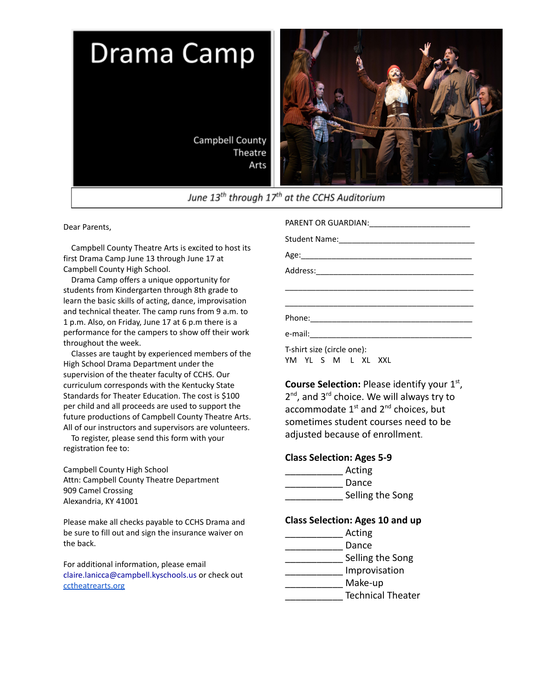

Dear Parents,

Campbell County Theatre Arts is excited to host its first Drama Camp June 13 through June 17 at Campbell County High School.

Drama Camp offers a unique opportunity for students from Kindergarten through 8th grade to learn the basic skills of acting, dance, improvisation and technical theater. The camp runs from 9 a.m. to 1 p.m. Also, on Friday, June 17 at 6 p.m there is a performance for the campers to show off their work throughout the week.

Classes are taught by experienced members of the High School Drama Department under the supervision of the theater faculty of CCHS. Our curriculum corresponds with the Kentucky State Standards for Theater Education. The cost is \$100 per child and all proceeds are used to support the future productions of Campbell County Theatre Arts. All of our instructors and supervisors are volunteers.

To register, please send this form with your registration fee to:

Campbell County High School Attn: Campbell County Theatre Department 909 Camel Crossing Alexandria, KY 41001

Please make all checks payable to CCHS Drama and be sure to fill out and sign the insurance waiver on the back.

For additional information, please email claire.lanicca@campbell.kyschools.us or check out [cctheatrearts.org](https://www.cctheatrearts.org/)

PARENT OR GUARDIAN:

Student Name:\_\_\_\_\_\_\_\_\_\_\_\_\_\_\_\_\_\_\_\_\_\_\_\_\_\_\_\_\_\_\_

Age:\_\_\_\_\_\_\_\_\_\_\_\_\_\_\_\_\_\_\_\_\_\_\_\_\_\_\_\_\_\_\_\_\_\_\_\_\_\_\_ Address:\_\_\_\_\_\_\_\_\_\_\_\_\_\_\_\_\_\_\_\_\_\_\_\_\_\_\_\_\_\_\_\_\_\_\_\_ \_\_\_\_\_\_\_\_\_\_\_\_\_\_\_\_\_\_\_\_\_\_\_\_\_\_\_\_\_\_\_\_\_\_\_\_\_\_\_\_\_\_\_ \_\_\_\_\_\_\_\_\_\_\_\_\_\_\_\_\_\_\_\_\_\_\_\_\_\_\_\_\_\_\_\_\_\_\_\_\_\_\_\_\_\_\_ Phone:\_\_\_\_\_\_\_\_\_\_\_\_\_\_\_\_\_\_\_\_\_\_\_\_\_\_\_\_\_\_\_\_\_\_\_\_\_ e-mail:\_\_\_\_\_\_\_\_\_\_\_\_\_\_\_\_\_\_\_\_\_\_\_\_\_\_\_\_\_\_\_\_\_\_\_\_\_ T-shirt size (circle one):

YM YL S M L XL XXL

**Course Selection:** Please identify your 1st, 2<sup>nd</sup>, and 3<sup>rd</sup> choice. We will always try to accommodate  $1<sup>st</sup>$  and  $2<sup>nd</sup>$  choices, but sometimes student courses need to be adjusted because of enrollment.

## **Class Selection: Ages 5-9**

| Acting           |
|------------------|
| Dance            |
| Selling the Song |

## **Class Selection: Ages 10 and up**

| Acting                   |
|--------------------------|
| Dance                    |
| Selling the Song         |
| Improvisation            |
| Make-up                  |
| <b>Technical Theater</b> |